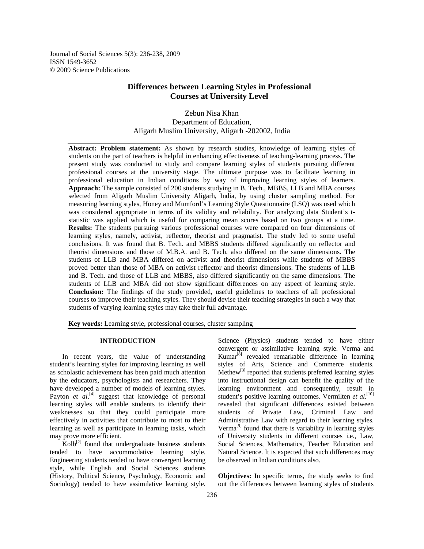Journal of Social Sciences 5(3): 236-238, 2009 ISSN 1549-3652 © 2009 Science Publications

# **Differences between Learning Styles in Professional Courses at University Level**

## Zebun Nisa Khan Department of Education, Aligarh Muslim University, Aligarh -202002, India

**Abstract: Problem statement:** As shown by research studies, knowledge of learning styles of students on the part of teachers is helpful in enhancing effectiveness of teaching-learning process. The present study was conducted to study and compare learning styles of students pursuing different professional courses at the university stage. The ultimate purpose was to facilitate learning in professional education in Indian conditions by way of improving learning styles of learners. **Approach:** The sample consisted of 200 students studying in B. Tech., MBBS, LLB and MBA courses selected from Aligarh Muslim University Aligarh, India, by using cluster sampling method. For measuring learning styles, Honey and Mumford's Learning Style Questionnaire (LSQ) was used which was considered appropriate in terms of its validity and reliability. For analyzing data Student's tstatistic was applied which is useful for comparing mean scores based on two groups at a time. **Results:** The students pursuing various professional courses were compared on four dimensions of learning styles, namely, activist, reflector, theorist and pragmatist. The study led to some useful conclusions. It was found that B. Tech. and MBBS students differed significantly on reflector and theorist dimensions and those of M.B.A. and B. Tech. also differed on the same dimensions. The students of LLB and MBA differed on activist and theorist dimensions while students of MBBS proved better than those of MBA on activist reflector and theorist dimensions. The students of LLB and B. Tech. and those of LLB and MBBS, also differed significantly on the same dimensions. The students of LLB and MBA did not show significant differences on any aspect of learning style. **Conclusion:** The findings of the study provided, useful guidelines to teachers of all professional courses to improve their teaching styles. They should devise their teaching strategies in such a way that students of varying learning styles may take their full advantage.

**Key words:** Learning style, professional courses, cluster sampling

### **INTRODUCTION**

 In recent years, the value of understanding student's learning styles for improving learning as well as scholastic achievement has been paid much attention by the educators, psychologists and researchers. They have developed a number of models of learning styles. Payton et al.<sup>[4]</sup> suggest that knowledge of personal learning styles will enable students to identify their weaknesses so that they could participate more effectively in activities that contribute to most to their learning as well as participate in learning tasks, which may prove more efficient.

 $Kolb^{[2]}$  found that undergraduate business students tended to have accommodative learning style. Engineering students tended to have convergent learning style, while English and Social Sciences students (History, Political Science, Psychology, Economic and Sociology) tended to have assimilative learning style.

Science (Physics) students tended to have either convergent or assimilative learning style. Verma and  $Kumar<sup>[8]</sup> revealed remarkable difference in learning$ styles of Arts, Science and Commerce students. Methew<sup>[3]</sup> reported that students preferred learning styles into instructional design can benefit the quality of the learning environment and consequently, result in student's positive learning outcomes. Vermilten et al.<sup>[10]</sup> revealed that significant differences existed between students of Private Law, Criminal Law and Administrative Law with regard to their learning styles. Verma<sup>[9]</sup> found that there is variability in learning styles of University students in different courses i.e., Law, Social Sciences, Mathematics, Teacher Education and Natural Science. It is expected that such differences may be observed in Indian conditions also.

**Objectives:** In specific terms, the study seeks to find out the differences between learning styles of students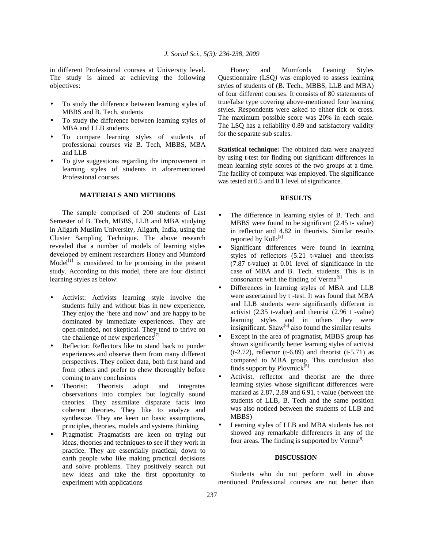in different Professional courses at University level. The study is aimed at achieving the following objectives:

- To study the difference between learning styles of MBBS and B. Tech. students
- To study the difference between learning styles of MBA and LLB students
- To compare learning styles of students of professional courses viz B. Tech, MBBS, MBA and LLB
- To give suggestions regarding the improvement in learning styles of students in aforementioned Professional courses

### **MATERIALS AND METHODS**

 The sample comprised of 200 students of Last Semester of B. Tech, MBBS, LLB and MBA studying in Aligarh Muslim University, Aligarh, India, using the Cluster Sampling Technique. The above research revealed that a number of models of learning styles developed by eminent researchers Honey and Mumford  $Model<sup>[1]</sup>$  is considered to be promising in the present study. According to this model, there are four distinct learning styles as below:

- Activist: Activists learning style involve the students fully and without bias in new experience. They enjoy the 'here and now' and are happy to be dominated by immediate experiences. They are open-minded, not skeptical. They tend to thrive on the challenge of new experiences<sup>[7]</sup>
- Reflector: Reflectors like to stand back to ponder experiences and observe them from many different perspectives. They collect data, both first hand and from others and prefer to chew thoroughly before coming to any conclusions
- Theorist: Theorists adopt and integrates observations into complex but logically sound theories. They assimilate disparate facts into coherent theories. They like to analyze and synthesize. They are keen on basic assumptions, principles, theories, models and systems thinking
- Pragmatist: Pragmatists are keen on trying out ideas, theories and techniques to see if they work in practice. They are essentially practical, down to earth people who like making practical decisions and solve problems. They positively search out new ideas and take the first opportunity to experiment with applications

 Honey and Mumfords Leaning Styles Questionnaire (LSQ*)* was employed to assess learning styles of students of (B. Tech., MBBS, LLB and MBA) of four different courses. It consists of 80 statements of true/false type covering above-mentioned four learning styles. Respondents were asked to either tick or cross. The maximum possible score was 20% in each scale. The LSQ has a reliability 0.89 and satisfactory validity for the separate sub scales.

**Statistical technique:** The obtained data were analyzed by using t-test for finding out significant differences in mean learning style scores of the two groups at a time. The facility of computer was employed. The significance was tested at 0.5 and 0.1 level of significance.

#### **RESULTS**

- The difference in learning styles of B. Tech. and MBBS were found to be significant (2.45 t- value) in reflector and 4.82 in theorists. Similar results reported by  $Kolb^{[2]}$
- Significant differences were found in learning styles of reflectors (5.21 t-value) and theorists (7.87 t-value) at 0.01 level of significance in the case of MBA and B. Tech. students. This is in consonance with the finding of Verma<sup>[9]</sup>
- Differences in learning styles of MBA and LLB were ascertained by t -test. It was found that MBA and LLB students were significantly different in activist (2.35 t-value) and theorist (2.96 t -value) learning styles and in others they were insignificant. Shaw<sup>[6]</sup> also found the similar results
- Except in the area of pragmatist, MBBS group has shown significantly better learning styles of activist  $(t-2.72)$ , reflector  $(t-6.89)$  and theorist  $(t-5.71)$  as compared to MBA group. This conclusion also finds support by Plovmick<sup>[5]</sup>
- Activist, reflector and theorist are the three learning styles whose significant differences were marked as 2.87, 2.89 and 6.91. t-value (between the students of LLB, B. Tech and the same position was also noticed between the students of LLB and MBBS)
- Learning styles of LLB and MBA students has not showed any remarkable differences in any of the four areas. The finding is supported by  $Verma^{[9]}$

#### **DISCUSSION**

 Students who do not perform well in above mentioned Professional courses are not better than